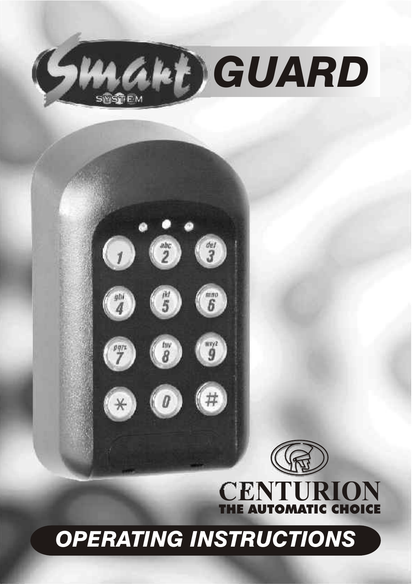

 $\bullet\bullet\bullet$ 

 $\bullet$  $\bullet$  $\bullet$ 

 $\left( \rho \right)$ 

 $\odot$   $\odot$ 





# *OPERATING INSTRUCTIONS*

 $\binom{m^2}{9}$ 

 $(# )$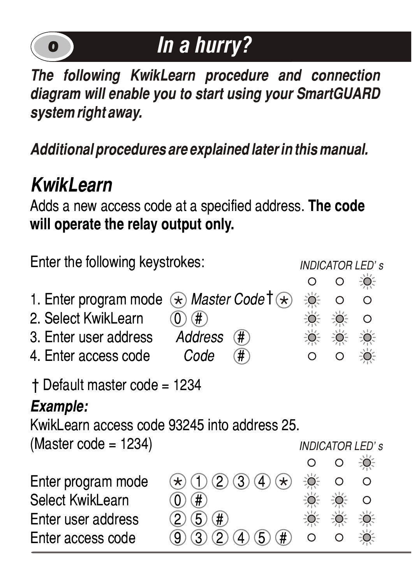

# **o** *In a hurry?*

*The following KwikLearn procedure and connection diagram will enable you to start using your SmartGUARD system right away.*

*Additional procedures are explained later in this manual.*

### *KwikLearn*

Adds a new access code at a specified address. **The code will operate the relay output only.**

| Enter the following keystrokes:                                                                |                                                                 |  |  | <b>INDICATOR LED's</b><br>$\bullet$ |  |  |
|------------------------------------------------------------------------------------------------|-----------------------------------------------------------------|--|--|-------------------------------------|--|--|
| 1. Enter program mode<br>2. Select Kwikl earn<br>3. Enter user address<br>4. Enter access code | $\star$ Master Code T $\star$<br>#<br>Address<br>#<br>Code<br># |  |  | ∩<br>∩                              |  |  |
| + Default master code = 1234<br>Example:<br>KwikLearn access code 93245 into address 25.       |                                                                 |  |  |                                     |  |  |
| (Master code = $1234$ )                                                                        |                                                                 |  |  | INDICATOR LED' s                    |  |  |
|                                                                                                |                                                                 |  |  | 美                                   |  |  |
| Enter program mode<br>Select KwikLearn                                                         |                                                                 |  |  | ∩<br>∩                              |  |  |
|                                                                                                | #                                                               |  |  |                                     |  |  |
| Enter user address                                                                             | $\#$<br>5                                                       |  |  |                                     |  |  |
| Enter access code                                                                              | #                                                               |  |  |                                     |  |  |
|                                                                                                |                                                                 |  |  |                                     |  |  |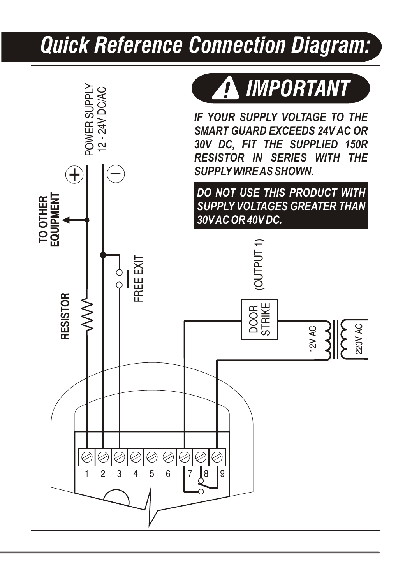## *Quick Reference Connection Diagram:*

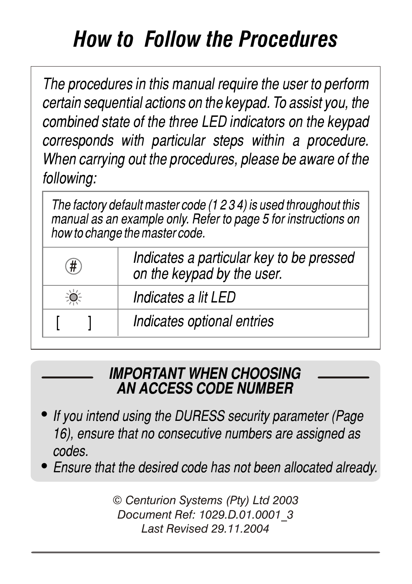# *How to Follow the Procedures*

*The procedures in this manual require the user to perform certain sequential actions on the keypad. To assist you, the combined state of the three LED indicators on the keypad corresponds with particular steps within a procedure. When carrying out the procedures, please be aware of the following:*

*The factory default master code (1 2 3 4) is used throughout this manual as an example only. Refer to page 5 for instructions on how to change the master code.* 

| # | Indicates a particular key to be pressed<br>on the keypad by the user. |
|---|------------------------------------------------------------------------|
|   | Indicates a lit LED                                                    |
|   | Indicates optional entries                                             |

#### *IMPORTANT WHEN CHOOSING AN ACCESS CODE NUMBER*

- ! *If you intend using the DURESS security parameter (Page 16), ensure that no consecutive numbers are assigned as codes.*
- ! *Ensure that the desired code has not been allocated already.*

*© Centurion Systems (Pty) Ltd 2003 Document Ref: 1029.D.01.0001\_3 Last Revised 29.11.2004*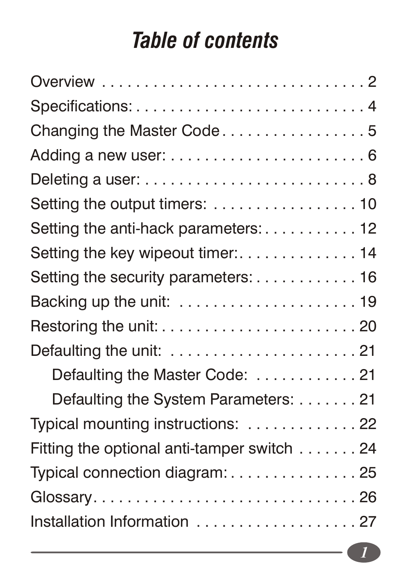### *Table of contents*

| Changing the Master Code5                                              |
|------------------------------------------------------------------------|
|                                                                        |
| Deleting a user: $\dots \dots \dots \dots \dots \dots \dots \dots$ . 8 |
|                                                                        |
| Setting the anti-hack parameters: 12                                   |
| Setting the key wipeout timer:14                                       |
| Setting the security parameters: 16                                    |
| Backing up the unit: $\ldots \ldots \ldots \ldots \ldots \ldots$       |
|                                                                        |
| Defaulting the unit: $\ldots \ldots \ldots \ldots \ldots \ldots$ .     |
| Defaulting the Master Code: 21                                         |
| Defaulting the System Parameters:  21                                  |
| Typical mounting instructions: 22                                      |
| Fitting the optional anti-tamper switch $\ldots \ldots$ . 24           |
| Typical connection diagram: 25                                         |
| Glossary26                                                             |
| Installation Information  27                                           |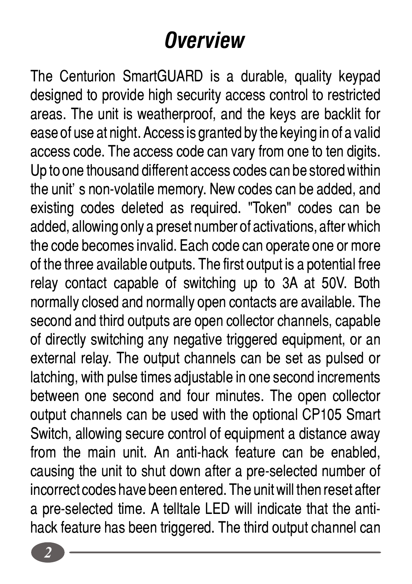# *Overview*

The Centurion SmartGUARD is a durable, quality keypad designed to provide high security access control to restricted areas. The unit is weatherproof, and the keys are backlit for ease of use at night. Access is granted by the keying in of a valid access code. The access code can vary from one to ten digits. Up to one thousand different access codes can be stored within the unit's non-volatile memory. New codes can be added, and existing codes deleted as required. "Token" codes can be added, allowing only a preset number of activations, after which the code becomes invalid. Each code can operate one or more of the three available outputs. The first output is a potential free relay contact capable of switching up to 3A at 50V. Both normally closed and normally open contacts are available. The second and third outputs are open collector channels, capable of directly switching any negative triggered equipment, or an external relay. The output channels can be set as pulsed or latching, with pulse times adjustable in one second increments between one second and four minutes. The open collector output channels can be used with the optional CP105 Smart Switch, allowing secure control of equipment a distance away from the main unit. An anti-hack feature can be enabled, causing the unit to shut down after a pre-selected number of incorrect codes have been entered. The unit will then reset after a pre-selected time. A telltale LED will indicate that the antihack feature has been triggered. The third output channel can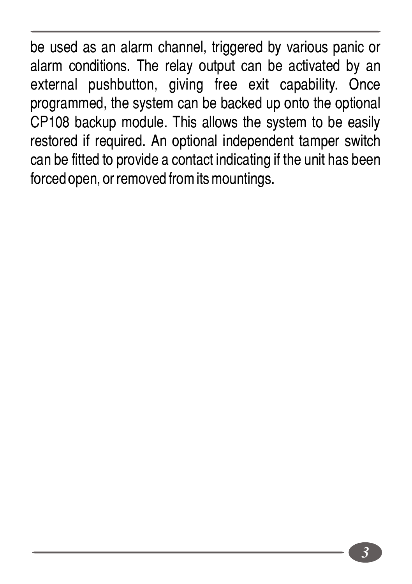be used as an alarm channel, triggered by various panic or alarm conditions. The relay output can be activated by an external pushbutton, giving free exit capability. Once programmed, the system can be backed up onto the optional CP108 backup module. This allows the system to be easily restored if required. An optional independent tamper switch can be fitted to provide a contact indicating if the unit has been forced open, or removed from its mountings.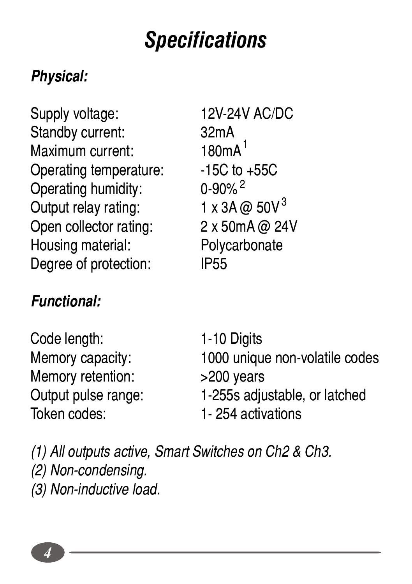## *Specifications*

### *Physical:*

Supply voltage: 12V-24V AC/DC Standby current: 32mA Maximum current:  $180 \text{mA}^1$ <br>Operating temperature:  $15 \text{C}$  to +55C Operating temperature:  $\frac{15C \text{ to}}{0.90\%}$ Operating humidity:  $0.90\%$ <sup>2</sup><br>Output relay rating:  $1 \times 3A$  @ 50V<sup>3</sup> Output relay rating: Open collector rating: 2 x 50mA @ 24V Housing material:<br>
Degree of protection:<br>
PE55 Degree of protection:

 $180mA<sup>1</sup>$ 

### *Functional:*

Code length: 1-10 Digits Memory retention: >200 years Token codes: 1- 254 activations

Memory capacity: 1000 unique non-volatile codes Output pulse range: 1-255s adjustable, or latched

*(1) All outputs active, Smart Switches on Ch2 & Ch3. (2) Non-condensing. (3) Non-inductive load.*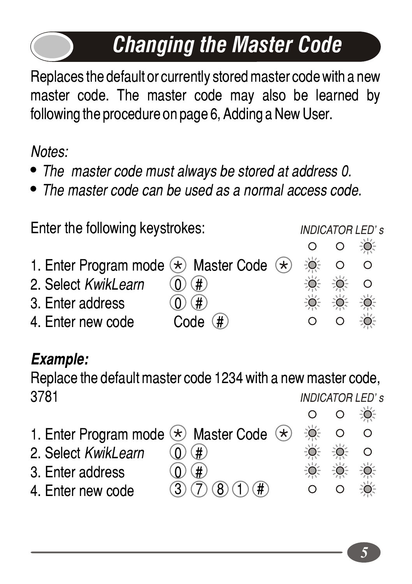# *Changing the Master Code*

Replaces the default or currently stored master code with a new master code. The master code may also be learned by following the procedure on page 6, Adding a New User.

*Notes:*

- ! *The master code must always be stored at address 0.*
- ! *The master code can be used as a normal access code.*

| <b>INDICATOR LED's</b> |               |               |  |
|------------------------|---------------|---------------|--|
|                        |               | $\frac{1}{2}$ |  |
| ₩                      |               | $\circ$       |  |
| ₩                      | $\frac{1}{2}$ | $\circ$       |  |
|                        |               |               |  |
|                        | $\Omega$      | $\frac{1}{2}$ |  |
|                        |               | 0. 0. 0.      |  |

### *Example:*

Replace the default master code 1234 with a new master code, 3781 *INDICATOR LED's*

÷ŏ.  $\Omega$  $\Omega$ 1. Enter Program mode  $\leftrightarrow$  Master Code  $\leftrightarrow$ ö  $\Omega$  $\Omega$ 2. Select *KwikLearn* (0  $\Omega$ 3. Enter address  $\bigcirc$   $\bigcirc$   $\bigcirc$  $(3)$   $(7)$   $(8)$   $(1)$   $(4)$ 4. Enter new code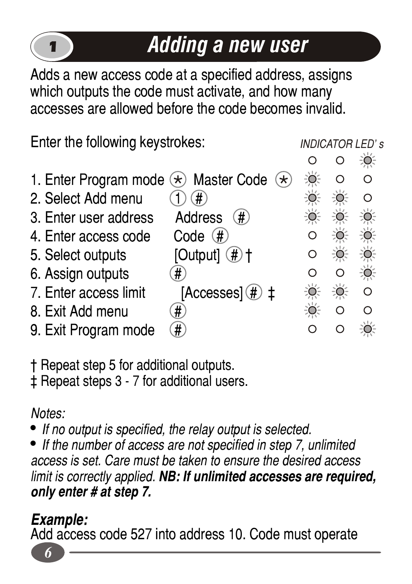### 1 *Adding a new user*

*INDICATOR LED's*

Adds a new access code at a specified address, assigns which outputs the code must activate, and how many accesses are allowed before the code becomes invalid.

Enter the following keystrokes:

|                                                           |                                |     |          | ÷.        |  |
|-----------------------------------------------------------|--------------------------------|-----|----------|-----------|--|
| 1. Enter Program mode $\langle \star \rangle$ Master Code | $\left( \mathbf{\star}\right)$ | ÷Ö. |          | റ         |  |
| 2. Select Add menu                                        | #                              |     | -Ò-      | റ         |  |
| 3. Enter user address                                     | Address<br>$(\#)$              | ÷O. | ÷Ö.      | 道         |  |
| 4. Enter access code                                      | Code<br>(#                     |     | ÷Ő.      | Ŏ         |  |
| 5. Select outputs                                         | [Output] $(\#)$ †              | Ω   | ÷Ő.      | ÷Ö.       |  |
| 6. Assign outputs                                         | #                              | റ   | $\Omega$ | $\bullet$ |  |
| 7. Enter access limit                                     | $[Accesses](#)$ $\ddagger$     |     | ÷Ö.      | O         |  |
| 8. Exit Add menu                                          | #                              | O.  | $\Omega$ | ∩         |  |
| 9. Exit Program mode                                      | #)                             |     |          |           |  |

† Repeat step 5 for additional outputs.

‡ Repeat steps 3 - 7 for additional users.

*Notes:*

! *If no output is specified, the relay output is selected.*

! *If the number of access are not specified in step 7, unlimited access is set. Care must be taken to ensure the desired access limit is correctly applied. NB: If unlimited accesses are required, only enter # at step 7.*

### *Example:*

Add access code 527 into address 10. Code must operate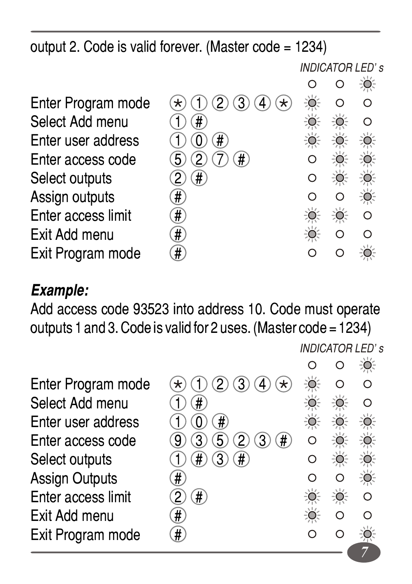output 2. Code is valid forever. (Master code = 1234)

Enter Program Select Add me Enter user adde Enter access c Select outputs Assign outputs # Enter access li Exit Add menu # Exit Program n

*INDICATOR LED's*

|      |                                                            |         |                  | $\mathbb{Q}$ |  |
|------|------------------------------------------------------------|---------|------------------|--------------|--|
| mode | $(2)$ $(3)$ $(4)$<br>D<br>′∗<br>$\mathcal{F}_{\mathbf{t}}$ | ŏ       | ∩                | Ó            |  |
| nu   | #                                                          |         | Ò.               | Ō            |  |
| ress | #                                                          | Q       | O.               |              |  |
| ode  | 7)<br>$\Omega$<br>$(\#)$<br>5                              |         |                  |              |  |
|      | #<br>2                                                     | О       | $\bullet$        | $\bullet$    |  |
|      | #                                                          | $\circ$ | $\circ$          | ۱            |  |
| mit  | #                                                          |         | $\sum_{i=1}^{n}$ | $\circ$      |  |
|      | #                                                          |         | O                | O            |  |
| ode  |                                                            |         |                  |              |  |
|      |                                                            |         |                  |              |  |

#### *Example:*

Add access code 93523 into address 10. Code must operate outputs 1 and 3. Code is valid for 2 uses. (Master code = 1234)

*INDICATOR LED's*

*7*

| Enter Program mode | 3)<br>႒<br>Δ<br>$^\star$<br>$^\star$ |  |  |
|--------------------|--------------------------------------|--|--|
| Select Add menu    | #                                    |  |  |
| Enter user address | #                                    |  |  |
| Enter access code  | $^{\ast}$                            |  |  |
| Select outputs     | #                                    |  |  |
| Assign Outputs     | #                                    |  |  |
| Enter access limit | #                                    |  |  |
| Exit Add menu      | #.                                   |  |  |
| Exit Program mode  | #                                    |  |  |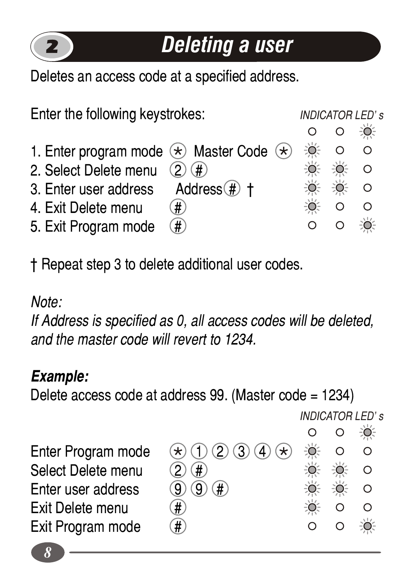

### *Deleting a user*

Deletes an access code at a specified address.

Enter the following keystrokes: *INDICATOR LED's*  $\Omega$ ÷ö- $\circ$ 1. Enter program mode  $\ast$  Master Code  $\ast$  $\Omega$ ŏ  $\cap$ 2. Select Delete menu  $(2)$   $(4)$ ∹Ò⊱  $\Omega$ ŏ. ₩ 3. Enter user address  $Address$   $#$   $#$  $\Omega$ 4. Exit Delete menu  $(\widehat{H})$  $\cap$  $\Omega$ 5. Exit Program mode  $(\#$  $\Omega$  $\cap$ EÒ.

† Repeat step 3 to delete additional user codes.

*Note:*

*If Address is specified as 0, all access codes will be deleted, and the master code will revert to 1234.*

#### *Example:*

Delete access code at address 99. (Master code = 1234)

*INDICATOR LED's* $\circ$  $\Omega$ 

÷Ŏ÷

 $\Omega$  $\frac{1}{2}$  $\Omega$  $\Omega$  $\Theta$  $\circ$  $\circ$  $\circ$ ÷O.

Enter Program mode  $\mathcal{F}(\mathcal{F})$  (1) (2) (3) (4)  $\mathcal{F}$ ) Select Delete menu  $(2)$   $(4)$ Enter user address  $(9)$   $(9)$   $(4)$ Exit Delete menu  $(\#)$ Exit Program mode

*8*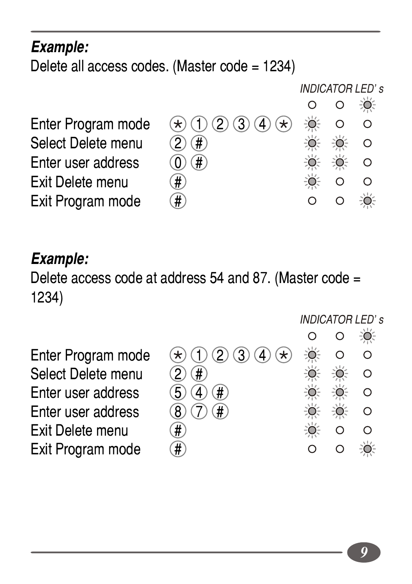#### *Example:*

Delete all access codes. (Master code = 1234)

Enter Program mode  $\mathcal{F}(\mathcal{F})$  (1) (2) (3) (4)  $\mathcal{F}$ ) Select Delete menu  $(2)$   $(4)$ Enter user address  $\qquad \qquad \textcircled{1}$ Exit Delete menu  $(\#)$ Exit Program mode

*INDICATOR LED's*  $\Omega$  $\circ$ -6  $\circ$  $\circ$  $\circ$  $\Omega$  $\circ$  $\Omega$  $\bullet$  $\Omega$ 

#### *Example:*

Delete access code at address 54 and 87. (Master code = 1234)

Select Delete menu  $(2)$   $($ #)<br>Enter user address  $(5)$   $(4)$   $($ # $)$ Enter user address 5 4 # Enter user address  $(8)$  (7)  $(4)$ Exit Delete menu  $(\text{#})$ Exit Program mode

*INDICATOR LED's*÷Ŏ.  $\Omega$  $\Omega$ Enter Program mode  $\qquad$   $\qquad$   $($  1  $)$   $($  2  $)$   $($   $)$   $($   $\rightarrow$  $\Omega$  $\Omega$  $\circ$  $\Omega$  $\Omega$  $\circ$  $\circ$  $\Omega$  $\Omega$ ÷Ò.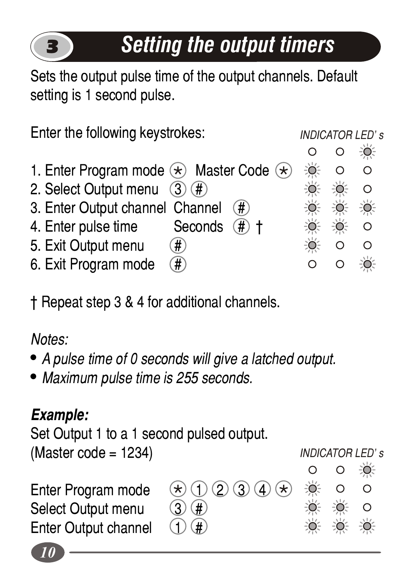## *Setting the output timers*

Sets the output pulse time of the output channels. Default setting is 1 second pulse.



† Repeat step 3 & 4 for additional channels.

*Notes:*

3

- ! *A pulse time of 0 seconds will give a latched output.*
- ! *Maximum pulse time is 255 seconds.*

### *Example:*

Set Output 1 to a 1 second pulsed output.

(Master code = 1234)

Enter Program mode  $\Rightarrow$  1 2 3 4  $\leftrightarrow$ <br>Select Output menu 3 # Select Output menu Enter Output channel  $\Box$ 

 $\Omega$ ∩ ÷Ŏ.  $\Omega$ 

 $\circ$ ٠Ö

*INDICATOR LED's*

÷Ö.

 $\Omega$ 

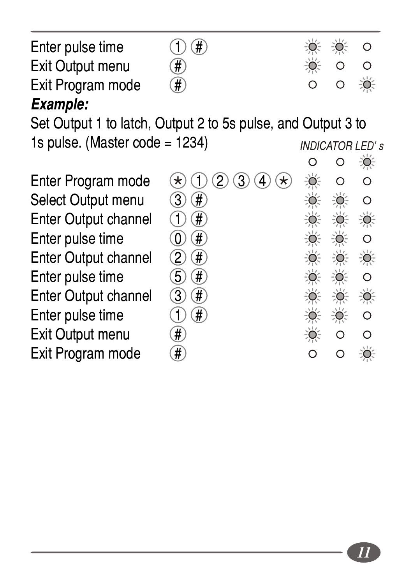| Enter pulse time  | $\left( \bigcap \left( \frac{\pi}{4} \right) \right)$ | 意 意 0                 |  |
|-------------------|-------------------------------------------------------|-----------------------|--|
| Exit Output menu  | $\left(  \right)$                                     |                       |  |
| Exit Program mode | $\left(  \right)$                                     | $0$ $0$ $\frac{1}{2}$ |  |
| Evamples          |                                                       |                       |  |

#### *Example:*

Set Output 1 to latch, Output 2 to 5s pulse, and Output 3 to 10 pulse. (Meeter endo, 1224) 1s pulse. (Master code =

Enter Program mode Select Output menu Enter Output channel Enter pulse time Enter Output channel Enter pulse time Enter Output channel Enter pulse time Exit Output menu Exit Program mode

| : 1234)                                                |                                          |                                      | <b>INDICATOR LED's</b> |
|--------------------------------------------------------|------------------------------------------|--------------------------------------|------------------------|
|                                                        | О                                        |                                      | Ŏ                      |
| $\bigcirc$ 2 $\bigcirc$ 4 $\bigcirc$<br>$\bf{(\star)}$ | $\bullet$                                | О                                    | С                      |
| $\circled{3}$<br>$\overline{\#}$                       | $\bullet$                                |                                      | O                      |
| #                                                      | 美                                        | $\frac{1}{\sqrt{2}}\sum_{j=1}^{n-1}$ | ۱                      |
| $\circledcirc$<br>#                                    | 美                                        | $\bullet$                            | O                      |
| $\circled{2}$<br>$\widehat{\boldsymbol{\#}}$           | $\frac{1}{2} \sum_{i=1}^{N} \frac{1}{i}$ | $\mathbf{Q}$                         | ۲                      |
| $\overline{6}$<br>#                                    | ۱                                        |                                      | O                      |
| G)<br>#                                                | $\bullet$                                | 美                                    | ۱                      |
| #                                                      | ۱                                        | ۱                                    | O                      |
| Ħ,                                                     |                                          | Ō                                    | O                      |
| Ħ                                                      | O                                        | Ō                                    |                        |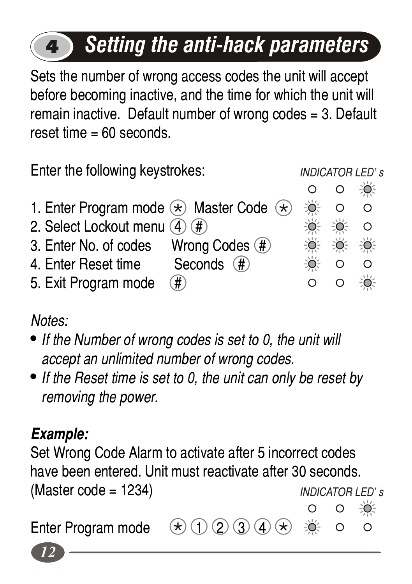# *Setting the anti-hack parameters*

Sets the number of wrong access codes the unit will accept before becoming inactive, and the time for which the unit will remain inactive. Default number of wrong codes = 3. Default  $reset time = 60 seconds$ 

Enter the following keystrokes:

*INDICATOR LED's*

- ÷ŏ. ∩  $\Omega$ 1. Enter Program mode  $\overline{\ast}$  Master Code  $\overline{\ast}$ ŏ.  $\Omega$  $\Omega$ 2. Select Lockout menu  $\widehat{A}$   $\widehat{H}$  $\Omega$ ∸⇔ 3. Enter No. of codes Wrong Codes  $#$ EÒ. 4. Enter Reset time Seconds  $#$  $\circ$  $\Omega$  $\Omega$  $\Omega$ ÷Ö.
- 5. Exit Program mode  $(\#)$

*Notes:*

4

- ! *If the Number of wrong codes is set to 0, the unit will accept an unlimited number of wrong codes.*
- ! *If the Reset time is set to 0, the unit can only be reset by removing the power.*

### *Example:*

Set Wrong Code Alarm to activate after 5 incorrect codes have been entered. Unit must reactivate after 30 seconds.  $(Master code = 1234)$ *INDICATOR LED's*÷ŏ.

Enter Program mode  $\mathcal{F}(\mathcal{F})$   $(2)$   $(3)$   $(4)$   $(\star)$ 

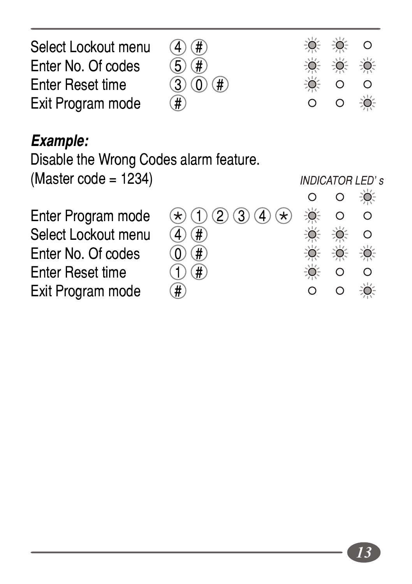| Select Lockout menu | (4)(#)                                                |       | <b>变换 0</b>        |                   |
|---------------------|-------------------------------------------------------|-------|--------------------|-------------------|
| Enter No. Of codes  | $(5)$ $($ # $)$                                       | ● 美 美 |                    |                   |
| Enter Reset time    | $\textcircled{3}$ $\textcircled{1}$ $\textcircled{1}$ |       | $\overline{0}$ 0 0 |                   |
| Exit Program mode   | $\left( $ # \right)                                   |       |                    | $O$ $O$ $\bullet$ |
|                     |                                                       |       |                    |                   |

#### *Example:*

Disable the Wrong Codes alarm feature.

 $(Master code = 1234)$ 

Enter Program mode<br>Select Lockout menu (<br>Enter No. Of codes (<br>Enter Reset time Select Lockout menu Enter No. Of codes **Enter Reset time** Exit Program mode

|                               | $\circ$       | $\circ$  | $\frac{1}{2}$ |  |
|-------------------------------|---------------|----------|---------------|--|
| $\ast$ (1) (2) (3) (4) $\ast$ | $\frac{1}{2}$ | $\circ$  | O             |  |
| $\widehat{4}$ $\widehat{4}$   | ÷Ò            |          | $\circ$       |  |
| $\overline{0}$ (#)            | $\frac{1}{2}$ | 意 美      |               |  |
| $\bigcap$ $\bigoplus$         | ÷Ò            | $\circ$  | ∩             |  |
|                               | $\circ$       | $\Omega$ | 道             |  |
|                               |               |          |               |  |

*INDICATOR LED's*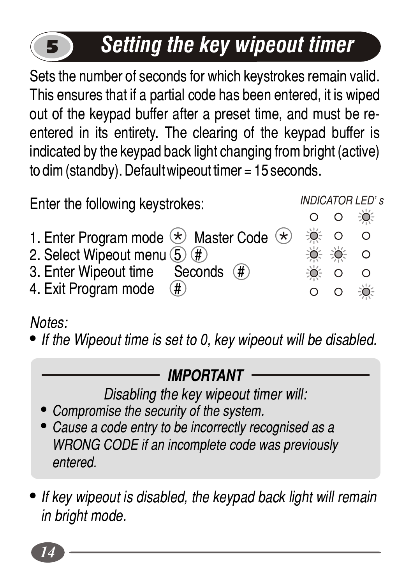# *Setting the key wipeout timer*

Sets the number of seconds for which keystrokes remain valid. This ensures that if a partial code has been entered, it is wiped out of the keypad buffer after a preset time, and must be reentered in its entirety. The clearing of the keypad buffer is indicated by the keypad back light changing from bright (active) to dim (standby). Default wipeout timer = 15 seconds.

Enter the following keystrokes:

*INDICATOR LED's* $\Omega$  $\Omega$ 

 $\Omega$ ÷ŏ. ÷ŏ.

 $\Omega$ ∹Ò⊱  $\Omega$  $\Omega$  $\Omega$ -ò  $\Omega$ 

- 1. Enter Program mode  $\langle \star \rangle$  Master Code  $\langle \star \rangle$
- 2. Select Wipeout menu  $(5)$   $(#)$ <br>3. Enter Wipeout time Seconds  $(#)$
- 3. Enter Wipeout time
- 4. Exit Program mode

*Notes:*

5

! *If the Wipeout time is set to 0, key wipeout will be disabled.*

### *IMPORTANT*

*Disabling the key wipeout timer will:*

- ! *Compromise the security of the system.*
- ! *Cause a code entry to be incorrectly recognised as a WRONG CODE if an incomplete code was previously entered.*
- ! *If key wipeout is disabled, the keypad back light will remain in bright mode.*

*14*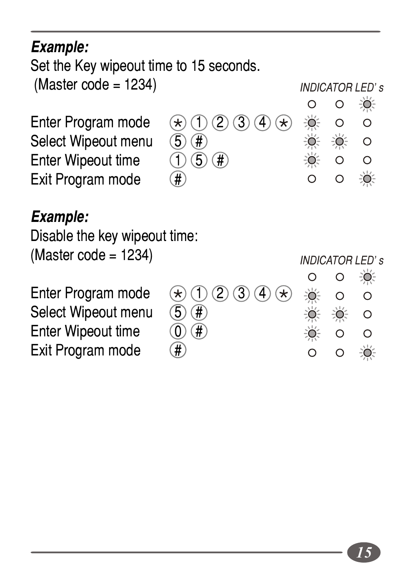*Example:*

Set the Key wipeout time to 15 seconds.

 $(Master code = 1234)$ 

*INDICATOR LED's* $\Omega$ 

÷ŏ.

 $\Omega$ 

Select Wipeout menu  $\textcircled{5} \times \textcircled{4}$ <br>Enter Wipeout time  $\textcircled{1} \times \textcircled{5} \times \textcircled{4}$ Enter Wipeout time Exit Program mode

Enter Program mode  $\mathcal{F}(\mathcal{F})$  (1) (2) (3) (4)  $\mathcal{F}$ )

#### $\frac{1}{2}$  $\Omega$  $\circ$ Ö ₩  $\circ$  $\circ$  $\circ$ 道  $\Omega$  $\Omega$

*INDICATOR LED's*

#### *Example:*

Disable the key wipeout time: (Master code = 1234)

Enter Program mode Select Wipeout menu ( Enter Wipeout time Exit Program mode

|                                       |               |         | $\sim$        |  |
|---------------------------------------|---------------|---------|---------------|--|
| $\bigstar$ 1 2 3 4 $\star$ $\ast$ 0   |               |         | ∩             |  |
| $\overline{5}$ $\overline{F}$         |               | ☀ ☀     | $\circ$       |  |
| $\overline{0}$ (#)                    | $\frac{1}{2}$ | $\circ$ | ∩             |  |
| $\left( \overline{\textbf{H}}\right)$ | Ω             | $\circ$ | $\mathcal{L}$ |  |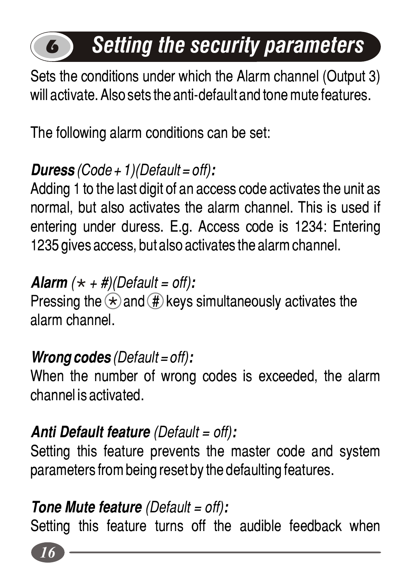# *Setting the security parameters*

Sets the conditions under which the Alarm channel (Output 3) will activate. Also sets the anti-default and tone mute features.

The following alarm conditions can be set:

### *Duress (Code + 1)(Default = off):*

6

Adding 1 to the last digit of an access code activates the unit as normal, but also activates the alarm channel. This is used if entering under duress. E.g. Access code is 1234: Entering 1235 gives access, but also activates the alarm channel.

*Alarm*  $(\star + \#)/\text{Default} = \text{off}$ : Pressing the  $\ast$  and  $\circledast$  keys simultaneously activates the alarm channel.

### *Wrong codes (Default = off):*

When the number of wrong codes is exceeded, the alarm channel is activated.

### *Anti Default feature (Default = off):*

Setting this feature prevents the master code and system parameters from being reset by the defaulting features.

### *Tone Mute feature (Default = off):*

Setting this feature turns off the audible feedback when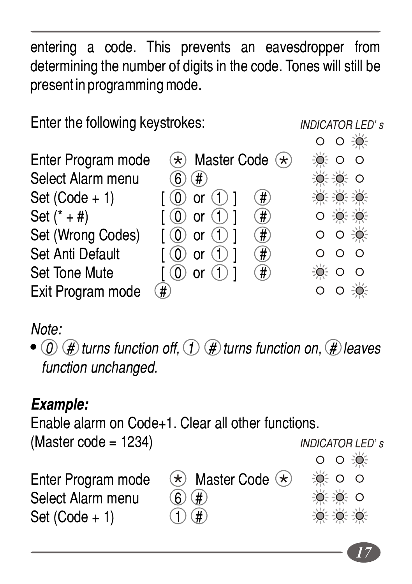entering a code. This prevents an eavesdropper from determining the number of digits in the code. Tones will still be present in programming mode.

Enter the following keystrokes:

#### *INDICATOR LED's*

|                    |                                               | U U ≂U≂               |
|--------------------|-----------------------------------------------|-----------------------|
| Enter Program mode | $\ast$ Master Code $\ast$                     | 0.00                  |
| Select Alarm menu  | $\left  \text{H} \right\rangle$<br>6          | 0.060                 |
| Set $(Code + 1)$   | $\left(  \sharp \right)$<br>$(0)$ or $(1)$ ]  | 0.060                 |
| Set $(* + #)$      | $(0)$ or $(1)$ 1<br>$\left(  \sharp \right)$  | O: 0: 0               |
| Set (Wrong Codes)  | $\left(  \sharp \right)$<br>$(0)$ or $(1)$ ]  | $O$ $O \rightarrow 0$ |
| Set Anti Default   | $(0)$ or $(1)$<br>$\left(  \sharp \right)$    | $\Omega$              |
| Set Tone Mute      | $(0)$ or $(1)$ 1<br>$\left( \pmb{\#} \right)$ | -о∈о<br>$\circ$       |
| Exit Program mode  | $\overline{\#}$                               |                       |

#### *Note:*

 $\bullet$   $\circ$   $\circ$   $\circ$   $\circ$  *turns function off,*  $\circ$  $\circ$  *turns function on,*  $\circ$  *leaves function unchanged.*

### *Example:*

Enable alarm on Code+1. Clear all other functions.  $(Master code = 1234)$ 

*INDICATOR LED's* $O$   $O \rightarrow 0$ Enter Program mode  $\quad$  Master Code  $\leftarrow$  $\circ$   $\circ$   $\circ$ Select Alarm menu  $\bigcirc$   $\bigcirc$   $\bigcirc$ ≐്≐്് റ

Set  $(Code + 1)$ 

*17*

 $0.06$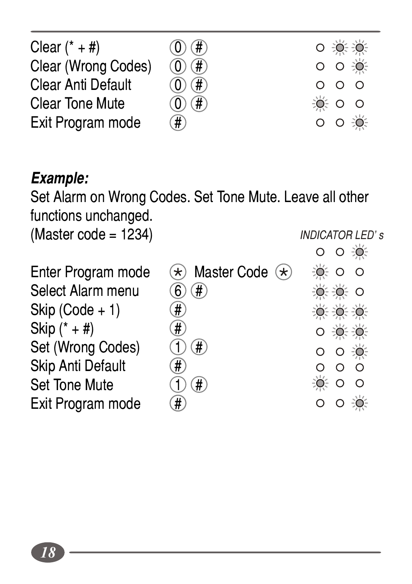| Clear $(* + #)$     | (0)(# )                  | $0 + 0 + 0$           |
|---------------------|--------------------------|-----------------------|
| Clear (Wrong Codes) | $\textcircled{1}$        | $O$ $O \rightarrow O$ |
| Clear Anti Default  | $\textcircled{1}$        | 000                   |
| Clear Tone Mute     | $(0)$ $(f)$              | 0.00                  |
| Exit Program mode   | $\left(  \sharp \right)$ | $O$ $O \rightarrow O$ |

#### *Example:*

Set Alarm on Wrong Codes. Set Tone Mute. Leave all other functions unchanged. *INDICATOR LED's*

 $(Master code = 1234)$ 

Select Alarm menu  $\bigcirc$   $\oplus$   $\oplus$ <br>Skip (Code + 1)  $\oplus$ <br>Skip (\* + #)  $\oplus$ <br>Set (Wrong Codes)  $\oplus$   $\oplus$ <br>Skip Anti Default  $\oplus$ <br>Set Tone Mute  $\oplus$   $\oplus$ <br>Exit Program mode  $\oplus$  $skip (Code + 1)$ Skip  $(* + #)$ Set (Wrong Codes) Skip Anti Default Set Tone Mute Exit Program mode

Enter Program mode  $\quad$  Master Code  $\leftarrow$  $\odot$   $\circ$   $\circ$  $0.0600$ **OC DC DC**  $0.305305$ o o ∛ó€  $\Omega$  $\Omega$  $-0.00$  $O$   $O \n\rightarrow$ 

 $O$   $O \ge 0$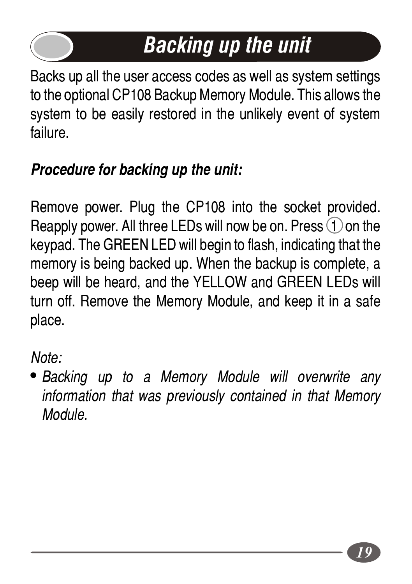# *Backing up the unit*

Backs up all the user access codes as well as system settings to the optional CP108 Backup Memory Module. This allows the system to be easily restored in the unlikely event of system failure.

### *Procedure for backing up the unit:*

Remove power. Plug the CP108 into the socket provided. Reapply power. All three LEDs will now be on. Press  $\bigcirc$  on the keypad. The GREEN LED will begin to flash, indicating that the memory is being backed up. When the backup is complete, a beep will be heard, and the YELLOW and GREEN LEDs will turn off. Remove the Memory Module, and keep it in a safe place.

*Note:*

! *Backing up to a Memory Module will overwrite any information that was previously contained in that Memory Module.*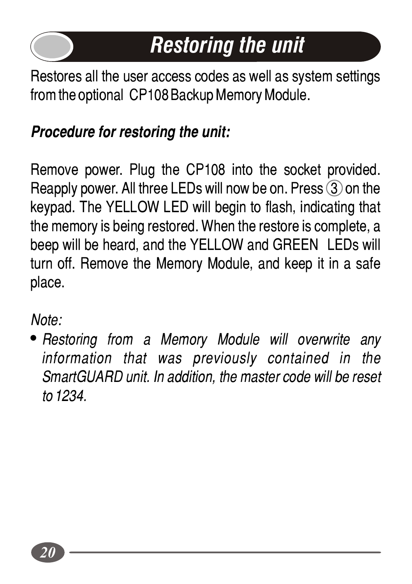

# *Restoring the unit*

Restores all the user access codes as well as system settings from the optional CP108 Backup Memory Module.

### *Procedure for restoring the unit:*

Remove power. Plug the CP108 into the socket provided. Reapply power. All three LEDs will now be on. Press  $\circled{3}$  on the keypad. The YELLOW LED will begin to flash, indicating that the memory is being restored. When the restore is complete, a beep will be heard, and the YELLOW and GREEN LEDs will turn off. Remove the Memory Module, and keep it in a safe place.

*Note:*

! *Restoring from a Memory Module will overwrite any information that was previously contained in the SmartGUARD unit. In addition, the master code will be reset to 1234.*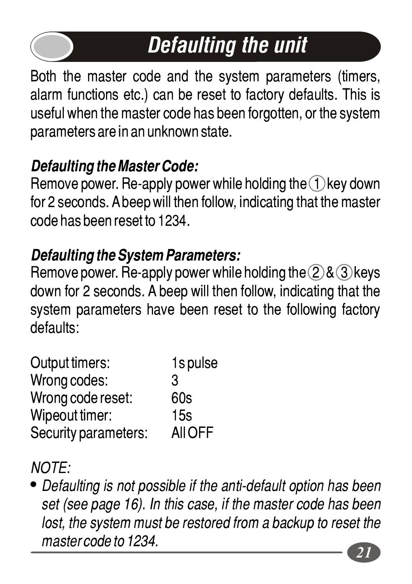# *Defaulting the unit*

Both the master code and the system parameters (timers, alarm functions etc.) can be reset to factory defaults. This is useful when the master code has been forgotten, or the system parameters are in an unknown state.

### *Defaulting the Master Code:*

Remove power. Re-apply power while holding the  $\bigcap$  key down for 2 seconds. A beep will then follow, indicating that the master code has been reset to 1234.

### *Defaulting the System Parameters:*

Remove power. Re-apply power while holding the  $(2)$ &  $(3)$  keys down for 2 seconds. A beep will then follow, indicating that the system parameters have been reset to the following factory defaults:

| 1s pulse |
|----------|
| 3        |
| 60s      |
| 15s      |
| All OFF  |
|          |

*NOTE:*

! *Defaulting is not possible if the anti-default option has been set (see page 16). In this case, if the master code has been*  lost, the system must be restored from a backup to reset the *master code to 1234.*

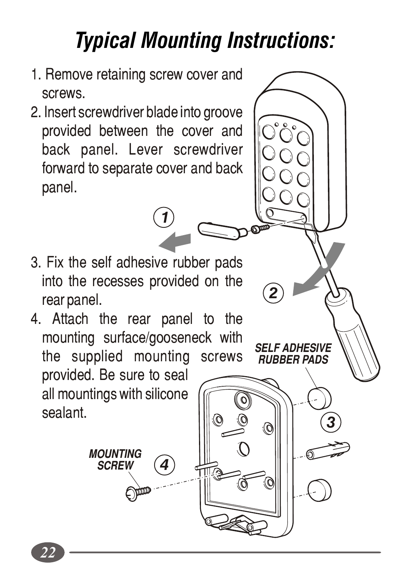# *Typical Mounting Instructions:*

*SELF ADHESIVE RUBBER PADS*

*2*

- 1. Remove retaining screw cover and screws.
- 2. Insert screwdriver blade into groove provided between the cover and back panel. Lever screwdriver forward to separate cover and back panel.
- 3. Fix the self adhesive rubber pads into the recesses provided on the rear panel.

*1*

4. Attach the rear panel to the mounting surface/gooseneck with the supplied mounting screws provided. Be sure to seal all mountings with silicone sealant.  $\begin{array}{c} \parallel \hspace{-.08in} \parallel \hspace{-.08in} \parallel \hspace{-.08in} \parallel \hspace{-.08in} \parallel \hspace{-.08in} \parallel \hspace{-.08in} \parallel \hspace{-.08in} \parallel \hspace{-.08in} \parallel \hspace{-.08in} \parallel \hspace{-.08in} \parallel \hspace{-.08in} \parallel \hspace{-.08in} \parallel \hspace{-.08in} \parallel \hspace{-.08in} \parallel \hspace{-.08in} \parallel \hspace{-.08in} \parallel \hspace{-.08in} \parallel \hspace{-.08in} \parallel \hspace{$ 

> *MOUNTING SCREW*

*4*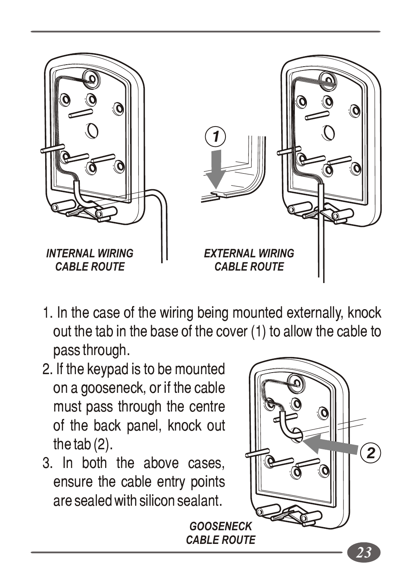

- 1. In the case of the wiring being mounted externally, knock out the tab in the base of the cover (1) to allow the cable to pass through.
- 2. If the keypad is to be mounted on a gooseneck, or if the cable must pass through the centre of the back panel, knock out the tab (2).
- 3. In both the above cases, ensure the cable entry points are sealed with silicon sealant.

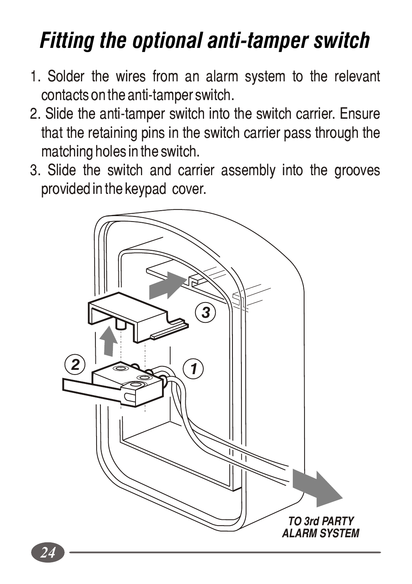## *Fitting the optional anti-tamper switch*

- 1. Solder the wires from an alarm system to the relevant contacts on the anti-tamper switch.
- 2. Slide the anti-tamper switch into the switch carrier. Ensure that the retaining pins in the switch carrier pass through the matching holes in the switch.
- 3. Slide the switch and carrier assembly into the grooves provided in the keypad cover.

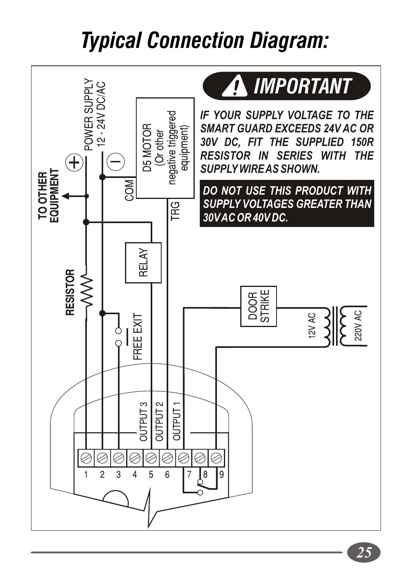## *Typical Connection Diagram:*

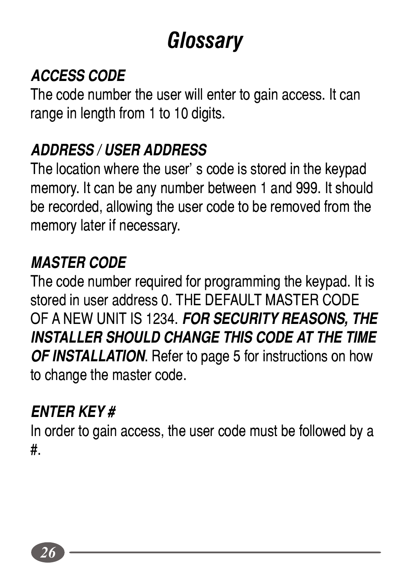## *Glossary*

### *ACCESS CODE*

The code number the user will enter to gain access. It can range in length from 1 to 10 digits.

### *ADDRESS / USER ADDRESS*

The location where the user's code is stored in the keypad memory. It can be any number between 1 and 999. It should be recorded, allowing the user code to be removed from the memory later if necessary.

### *MASTER CODE*

The code number required for programming the keypad. It is stored in user address 0. THE DEFAULT MASTER CODE OF A NEW UNIT IS 1234. *FOR SECURITY REASONS, THE INSTALLER SHOULD CHANGE THIS CODE AT THE TIME OF INSTALLATION*. Refer to page 5 for instructions on how to change the master code.

#### *ENTER KEY #*

In order to gain access, the user code must be followed by a #.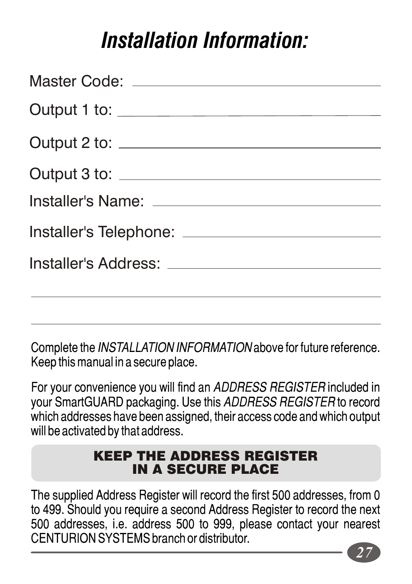### *Installation Information:*

Complete the *INSTALLATION INFORMATION* above for future reference. Keep this manual in a secure place.

For your convenience you will find an *ADDRESS REGISTER* included in your SmartGUARD packaging. Use this *ADDRESS REGISTER* to record which addresses have been assigned, their access code and which output will be activated by that address.

#### KEEP THE ADDRESS REGISTER IN A SECURE PLACE

The supplied Address Register will record the first 500 addresses, from 0 to 499. Should you require a second Address Register to record the next 500 addresses, i.e. address 500 to 999, please contact your nearest CENTURION SYSTEMS branch or distributor.